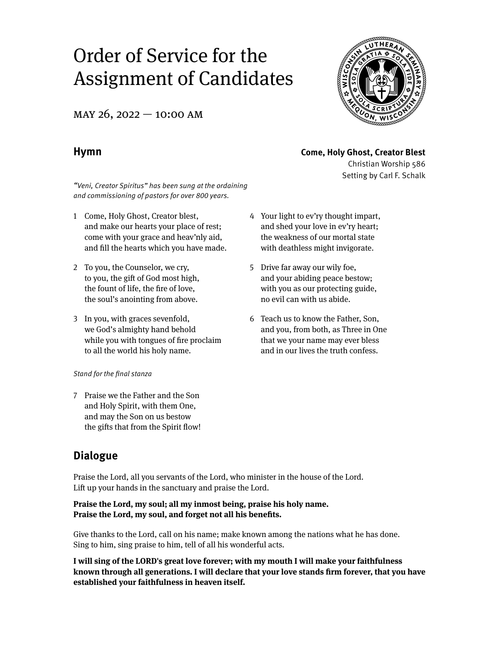# Order of Service for the Assignment of Candidates

MAY 26, 2022 – 10:00 AM

Christian Worship 586 Setting by Carl F. Schalk

# **Hymn Come, Holy Ghost, Creator Blest**

"Veni, Creator Spiritus" has been sung at the ordaining and commissioning of pastors for over 800 years.

- 1 Come, Holy Ghost, Creator blest, and make our hearts your place of rest; come with your grace and heav'nly aid, and fill the hearts which you have made.
- 2 To you, the Counselor, we cry, to you, the gift of God most high, the fount of life, the fire of love, the soul's anointing from above.
- 3 In you, with graces sevenfold, we God's almighty hand behold while you with tongues of fire proclaim to all the world his holy name.

### Stand for the final stanza

7 Praise we the Father and the Son and Holy Spirit, with them One, and may the Son on us bestow the gifts that from the Spirit flow!

- 4 Your light to ev'ry thought impart, and shed your love in ev'ry heart; the weakness of our mortal state with deathless might invigorate.
- 5 Drive far away our wily foe, and your abiding peace bestow; with you as our protecting guide, no evil can with us abide.
- 6 Teach us to know the Father, Son, and you, from both, as Three in One that we your name may ever bless and in our lives the truth confess.

# **Dialogue**

Praise the Lord, all you servants of the Lord, who minister in the house of the Lord. Lift up your hands in the sanctuary and praise the Lord.

### **Praise the Lord, my soul; all my inmost being, praise his holy name. Praise the Lord, my soul, and forget not all his benefits.**

Give thanks to the Lord, call on his name; make known among the nations what he has done. Sing to him, sing praise to him, tell of all his wonderful acts.

**I will sing of the LORD's great love forever; with my mouth I will make your faithfulness known through all generations. I will declare that your love stands firm forever, that you have established your faithfulness in heaven itself.**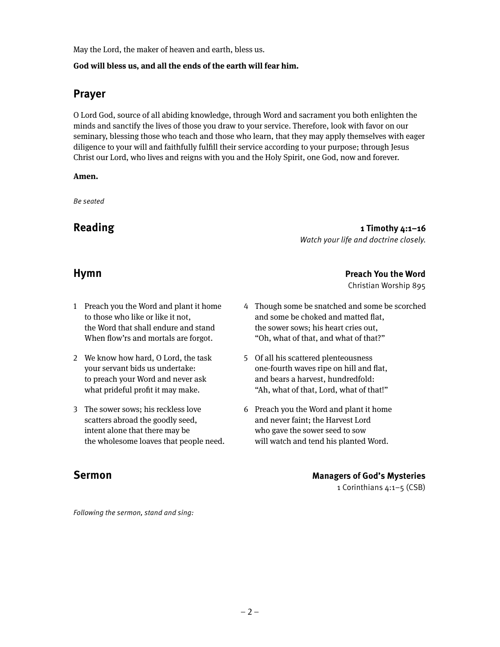May the Lord, the maker of heaven and earth, bless us.

### **God will bless us, and all the ends of the earth will fear him.**

## **Prayer**

O Lord God, source of all abiding knowledge, through Word and sacrament you both enlighten the minds and sanctify the lives of those you draw to your service. Therefore, look with favor on our seminary, blessing those who teach and those who learn, that they may apply themselves with eager diligence to your will and faithfully fulfill their service according to your purpose; through Jesus Christ our Lord, who lives and reigns with you and the Holy Spirit, one God, now and forever.

### **Amen.**

Be seated

Reading **1** Timothy 4:1-16 Watch your life and doctrine closely.

**Hymn Preach You the Word**

Christian Worship 895

- 1 Preach you the Word and plant it home to those who like or like it not, the Word that shall endure and stand When flow'rs and mortals are forgot.
- 2 We know how hard, O Lord, the task your servant bids us undertake: to preach your Word and never ask what prideful profit it may make.
- 3 The sower sows; his reckless love scatters abroad the goodly seed, intent alone that there may be the wholesome loaves that people need.

4 Though some be snatched and some be scorched and some be choked and matted flat, the sower sows; his heart cries out, "Oh, what of that, and what of that?"

- 5 Of all his scattered plenteousness one-fourth waves ripe on hill and flat, and bears a harvest, hundredfold: "Ah, what of that, Lord, what of that!"
- 6 Preach you the Word and plant it home and never faint; the Harvest Lord who gave the sower seed to sow will watch and tend his planted Word.

# **Sermon Managers of God's Mysteries**

1 Corinthians 4:1–5 (CSB)

Following the sermon, stand and sing: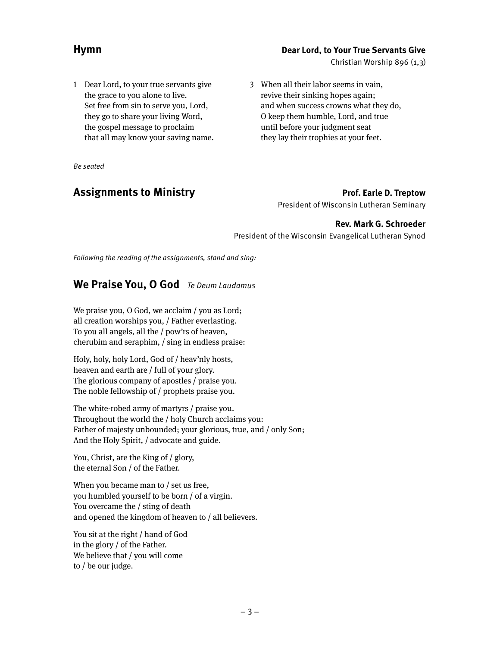### **Hymn Dear Lord, to Your True Servants Give**

Christian Worship 896 (1,3)

1 Dear Lord, to your true servants give the grace to you alone to live. Set free from sin to serve you, Lord, they go to share your living Word, the gospel message to proclaim that all may know your saving name.

Be seated

# **Assignments to Ministry <b>Prof. Earle D. Treptow**

President of Wisconsin Lutheran Seminary

### **Rev. Mark G. Schroeder**

President of the Wisconsin Evangelical Lutheran Synod

3 When all their labor seems in vain, revive their sinking hopes again;

and when success crowns what they do, O keep them humble, Lord, and true until before your judgment seat they lay their trophies at your feet.

Following the reading of the assignments, stand and sing:

# We Praise You, O God Te Deum Laudamus

We praise you, O God, we acclaim / you as Lord; all creation worships you, / Father everlasting. To you all angels, all the / pow'rs of heaven, cherubim and seraphim, / sing in endless praise:

Holy, holy, holy Lord, God of / heav'nly hosts, heaven and earth are / full of your glory. The glorious company of apostles / praise you. The noble fellowship of / prophets praise you.

The white-robed army of martyrs / praise you. Throughout the world the / holy Church acclaims you: Father of majesty unbounded; your glorious, true, and / only Son; And the Holy Spirit, / advocate and guide.

You, Christ, are the King of / glory, the eternal Son / of the Father.

When you became man to / set us free, you humbled yourself to be born / of a virgin. You overcame the / sting of death and opened the kingdom of heaven to / all believers.

You sit at the right / hand of God in the glory / of the Father. We believe that / you will come to / be our judge.